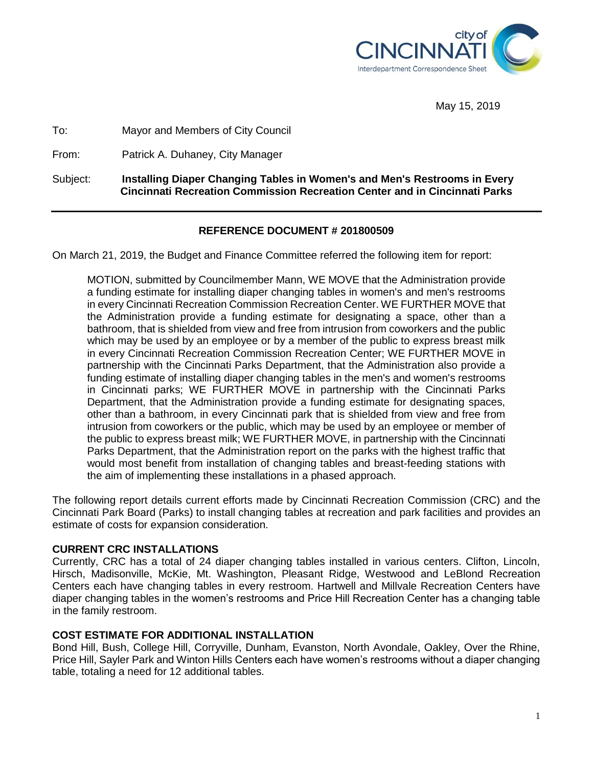

May 15, 2019

To: Mayor and Members of City Council

From: Patrick A. Duhaney, City Manager

Subject: **Installing Diaper Changing Tables in Women's and Men's Restrooms in Every Cincinnati Recreation Commission Recreation Center and in Cincinnati Parks**

# **REFERENCE DOCUMENT # 201800509**

On March 21, 2019, the Budget and Finance Committee referred the following item for report:

MOTION, submitted by Councilmember Mann, WE MOVE that the Administration provide a funding estimate for installing diaper changing tables in women's and men's restrooms in every Cincinnati Recreation Commission Recreation Center. WE FURTHER MOVE that the Administration provide a funding estimate for designating a space, other than a bathroom, that is shielded from view and free from intrusion from coworkers and the public which may be used by an employee or by a member of the public to express breast milk in every Cincinnati Recreation Commission Recreation Center; WE FURTHER MOVE in partnership with the Cincinnati Parks Department, that the Administration also provide a funding estimate of installing diaper changing tables in the men's and women's restrooms in Cincinnati parks; WE FURTHER MOVE in partnership with the Cincinnati Parks Department, that the Administration provide a funding estimate for designating spaces, other than a bathroom, in every Cincinnati park that is shielded from view and free from intrusion from coworkers or the public, which may be used by an employee or member of the public to express breast milk; WE FURTHER MOVE, in partnership with the Cincinnati Parks Department, that the Administration report on the parks with the highest traffic that would most benefit from installation of changing tables and breast-feeding stations with the aim of implementing these installations in a phased approach.

The following report details current efforts made by Cincinnati Recreation Commission (CRC) and the Cincinnati Park Board (Parks) to install changing tables at recreation and park facilities and provides an estimate of costs for expansion consideration.

# **CURRENT CRC INSTALLATIONS**

Currently, CRC has a total of 24 diaper changing tables installed in various centers. Clifton, Lincoln, Hirsch, Madisonville, McKie, Mt. Washington, Pleasant Ridge, Westwood and LeBlond Recreation Centers each have changing tables in every restroom. Hartwell and Millvale Recreation Centers have diaper changing tables in the women's restrooms and Price Hill Recreation Center has a changing table in the family restroom.

# **COST ESTIMATE FOR ADDITIONAL INSTALLATION**

Bond Hill, Bush, College Hill, Corryville, Dunham, Evanston, North Avondale, Oakley, Over the Rhine, Price Hill, Sayler Park and Winton Hills Centers each have women's restrooms without a diaper changing table, totaling a need for 12 additional tables.